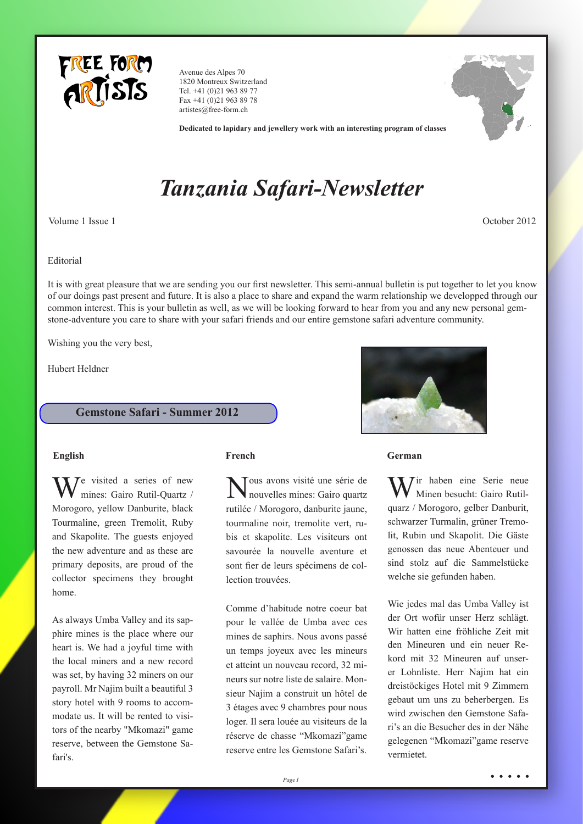

Avenue des Alpes 70 1820 Montreux Switzerland Tel. +41 (0)21 963 89 77 Fax +41 (0)21 963 89 78 artistes@free-form.ch



**Dedicated to lapidary and jewellery work with an interesting program of classes**

# *Tanzania Safari-Newsletter*

Volume 1 Issue 1 October 2012

### Editorial

It is with great pleasure that we are sending you our first newsletter. This semi-annual bulletin is put together to let you know of our doings past present and future. It is also a place to share and expand the warm relationship we developped through our common interest. This is your bulletin as well, as we will be looking forward to hear from you and any new personal gemstone-adventure you care to share with your safari friends and our entire gemstone safari adventure community.

Wishing you the very best,

Hubert Heldner

# **Gemstone Safari - Summer 2012**

 $\mathcal{T}$ e visited a series of new mines: Gairo Rutil-Quartz / Morogoro, yellow Danburite, black Tourmaline, green Tremolit, Ruby and Skapolite. The guests enjoyed the new adventure and as these are primary deposits, are proud of the collector specimens they brought home.

As always Umba Valley and its sapphire mines is the place where our heart is. We had a joyful time with the local miners and a new record was set, by having 32 miners on our payroll. Mr Najim built a beautiful 3 story hotel with 9 rooms to accommodate us. It will be rented to visitors of the nearby "Mkomazi" game reserve, between the Gemstone Safari's.

Nous avons visité une série de nouvelles mines: Gairo quartz rutilée / Morogoro, danburite jaune, tourmaline noir, tremolite vert, rubis et skapolite. Les visiteurs ont savourée la nouvelle aventure et sont fier de leurs spécimens de collection trouvées.

Comme d'habitude notre coeur bat pour le vallée de Umba avec ces mines de saphirs. Nous avons passé un temps joyeux avec les mineurs et atteint un nouveau record, 32 mineurs sur notre liste de salaire. Monsieur Najim a construit un hôtel de 3 étages avec 9 chambres pour nous loger. Il sera louée au visiteurs de la réserve de chasse "Mkomazi"game reserve entre les Gemstone Safari's.



### **English French German**

 $\nabla$  Tir haben eine Serie neue Minen besucht: Gairo Rutilquarz / Morogoro, gelber Danburit, schwarzer Turmalin, grüner Tremolit, Rubin und Skapolit. Die Gäste genossen das neue Abenteuer und sind stolz auf die Sammelstücke welche sie gefunden haben.

Wie jedes mal das Umba Valley ist der Ort wofür unser Herz schlägt. Wir hatten eine fröhliche Zeit mit den Mineuren und ein neuer Rekord mit 32 Mineuren auf unserer Lohnliste. Herr Najim hat ein dreistöckiges Hotel mit 9 Zimmern gebaut um uns zu beherbergen. Es wird zwischen den Gemstone Safari's an die Besucher des in der Nähe gelegenen "Mkomazi"game reserve vermietet.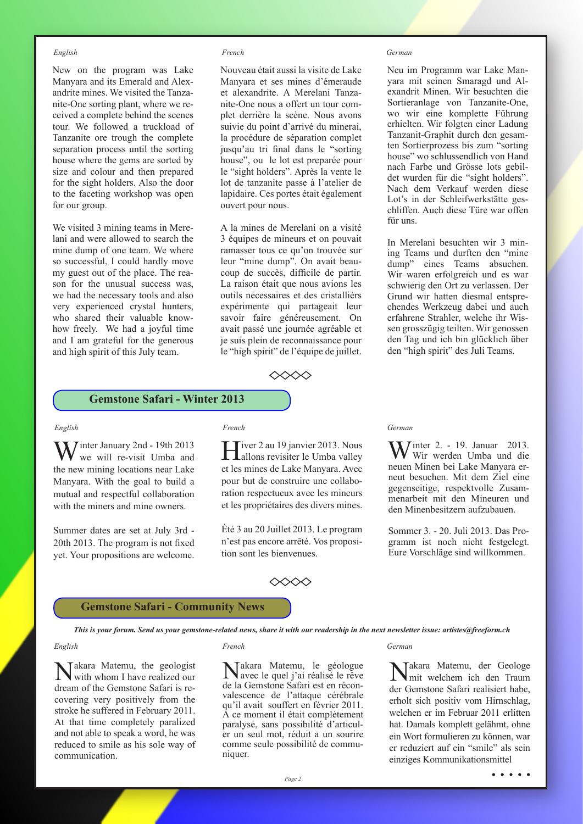New on the program was Lake Manyara and its Emerald and Alexandrite mines. We visited the Tanzanite-One sorting plant, where we received a complete behind the scenes tour. We followed a truckload of Tanzanite ore trough the complete separation process until the sorting house where the gems are sorted by size and colour and then prepared for the sight holders. Also the door to the faceting workshop was open for our group.

We visited 3 mining teams in Merelani and were allowed to search the mine dump of one team. We where so successful, I could hardly move my guest out of the place. The reason for the unusual success was, we had the necessary tools and also very experienced crystal hunters, who shared their valuable knowhow freely. We had a joyful time and I am grateful for the generous and high spirit of this July team.

### *English French German*

Nouveau était aussi la visite de Lake Manyara et ses mines d'émeraude et alexandrite. A Merelani Tanzanite-One nous a offert un tour complet derrière la scène. Nous avons suivie du point d'arrivé du minerai, la procédure de séparation complet jusqu'au tri final dans le "sorting house", ou le lot est preparée pour le "sight holders". Après la vente le lot de tanzanite passe à l'atelier de lapidaire. Ces portes était également ouvert pour nous.

A la mines de Merelani on a visité 3 équipes de mineurs et on pouvait ramasser tous ce qu'on trouvée sur leur "mine dump". On avait beaucoup de succès, difficile de partir. La raison était que nous avions les outils nécessaires et des cristallièrs expérimente qui partageait leur savoir faire généreusement. On avait passé une journée agréable et je suis plein de reconnaissance pour le "high spirit" de l'équipe de juillet.



Neu im Programm war Lake Manyara mit seinen Smaragd und Alexandrit Minen. Wir besuchten die Sortieranlage von Tanzanite-One, wo wir eine komplette Führung erhielten. Wir folgten einer Ladung Tanzanit-Graphit durch den gesamten Sortierprozess bis zum "sorting house" wo schlussendlich von Hand nach Farbe und Grösse lots gebildet wurden für die "sight holders". Nach dem Verkauf werden diese Lot's in der Schleifwerkstätte geschliffen. Auch diese Türe war offen für uns.

In Merelani besuchten wir 3 mining Teams und durften den "mine dump" eines Teams absuchen. Wir waren erfolgreich und es war schwierig den Ort zu verlassen. Der Grund wir hatten diesmal entsprechendes Werkzeug dabei und auch erfahrene Strahler, welche ihr Wissen grosszügig teilten. Wir genossen den Tag und ich bin glücklich über den "high spirit" des Juli Teams.

# **Gemstone Safari - Winter 2013**

**Tinter January 2nd - 19th 2013** we will re-visit Umba and the new mining locations near Lake Manyara. With the goal to build a mutual and respectful collaboration with the miners and mine owners.

Summer dates are set at July 3rd - 20th 2013. The program is not fixed yet. Your propositions are welcome.

Fiver 2 au 19 janvier 2013. Nous **L**allons revisiter le Umba valley et les mines de Lake Manyara. Avec pour but de construire une collaboration respectueux avec les mineurs et les propriétaires des divers mines.

Été 3 au 20 Juillet 2013. Le program n'est pas encore arrêté. Vos proposition sont les bienvenues.

### $\diamond\!\!\!\triangle \!\!\!\diamond\!\!\!\triangle\!\!\!\triangle\!\!\!\triangle$

### *English French German*

**W** inter 2. - 19. Januar 2013. Wir werden Umba und die neuen Minen bei Lake Manyara erneut besuchen. Mit dem Ziel eine gegenseitige, respektvolle Zusammenarbeit mit den Mineuren und den Minenbesitzern aufzubauen.

Sommer 3. - 20. Juli 2013. Das Programm ist noch nicht festgelegt. Eure Vorschläge sind willkommen.

### **Gemstone Safari - Community News**

*This is your forum. Send us your gemstone-related news, share it with our readership in the next newsletter issue: artistes@freeform.ch*

### *English French German*

Takara Matemu, the geologist with whom I have realized our dream of the Gemstone Safari is recovering very positively from the stroke he suffered in February 2011. At that time completely paralized and not able to speak a word, he was reduced to smile as his sole way of communication.

Nakara Matemu, le géologue avec le quel j'ai réalisé le rêve de la Gemstone Safari est en réconvalescence de l'attaque cérébrale qu'il avait souffert en février 2011. A ce moment il était complètement paralysé, sans possibilité d'articuler un seul mot, réduit a un sourire comme seule possibilité de communiquer.

Takara Matemu, der Geologe mit welchem ich den Traum der Gemstone Safari realisiert habe, erholt sich positiv vom Hirnschlag, welchen er im Februar 2011 erlitten hat. Damals komplett gelähmt, ohne ein Wort formulieren zu können, war er reduziert auf ein "smile" als sein einziges Kommunikationsmittel